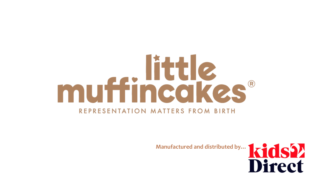# muffincakes® REPRESENTATION MATTERS FROM BIRTH

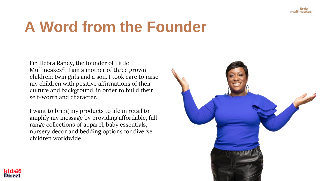

## **A Word from the Founder**

I'm Debra Raney, the founder of Little Muffincakes®! I am a mother of three grown children: twin girls and a son. I took care to raise my children with positive affirmations of their culture and background, in order to build their self-worth and character.

I want to bring my products to life in retail to amplify my message by providing affordable, full range collections of apparel, baby essentials, nursery decor and bedding options for diverse children worldwide.



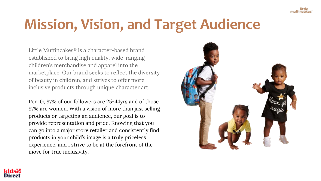#### **Mission, Vision, and Target Audience**

Little Muffincakes® is a character-based brand established to bring high quality, wide-ranging children's merchandise and apparel into the marketplace. Our brand seeks to reflect the diversity of beauty in children, and strives to offer more inclusive products through unique character art.

Per IG, 87% of our followers are 25-44yrs and of those 97% are women. With a vision of more than just selling products or targeting an audience, our goal is to provide representation and pride. Knowing that you can go into a major store retailer and consistently find products in your child's image is a truly priceless experience, and I strive to be at the forefront of the move for true inclusivity.



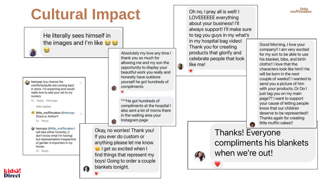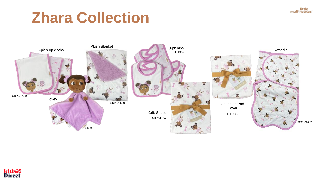

## **Zhara Collection**